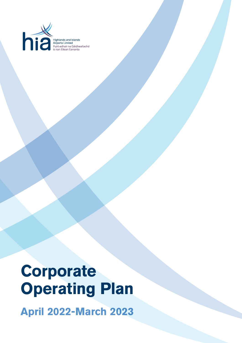

Highlands and Islands<br>Airports Limited<br>Puirt-adhair na Gàidhealtachd<br>is nan Eilean Earranta

# **Corporate Operating Plan**

**April 2022-March 2023**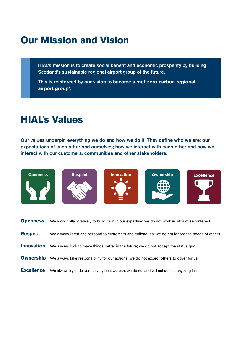## **Our Mission and Vision**

HIAL's mission is to create social benefit and economic prosperity by building Scotland's sustainable regional airport group of the future.

This is reinforced by our vision to become a **'net-zero carbon regional airport group'.**

### **HIAL**'**s Values**

Our values underpin everything we do and how we do it. They define who we are; our expectations of each other and ourselves; how we interact with each other and how we interact with our customers, communities and other stakeholders.











| <b>Openness</b>   | We work collaboratively to build trust in our expertise; we do not work in silos of self-interest. |
|-------------------|----------------------------------------------------------------------------------------------------|
| <b>Respect</b>    | We always listen and respond to customers and colleagues; we do not ignore the needs of others.    |
| <b>Innovation</b> | We always look to make things better in the future; we do not accept the status quo.               |
| <b>Ownership</b>  | We always take responsibility for our actions; we do not expect others to cover for us.            |
| <b>Excellence</b> | We always try to deliver the very best we can; we do not and will not accept anything less.        |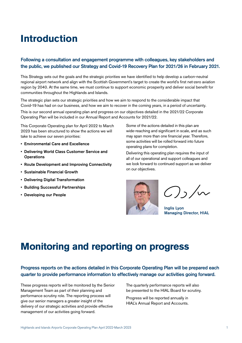### **Introduction**

#### Following a consultation and engagement programme with colleagues, key stakeholders and the public, we published our Strategy and Covid-19 Recovery Plan for 2021/26 in February 2021.

This Strategy sets out the goals and the strategic priorities we have identified to help develop a carbon-neutral regional airport network and align with the Scottish Government's target to create the world's first net-zero aviation region by 2040. At the same time, we must continue to support economic prosperity and deliver social benefit for communities throughout the Highlands and Islands.

The strategic plan sets our strategic priorities and how we aim to respond to the considerable impact that Covid-19 has had on our business, and how we aim to recover in the coming years, in a period of uncertainty.

This is our second annual operating plan and progress on our objectives detailed in the 2021/22 Corporate Operating Plan will be included in our Annual Report and Accounts for 2021/22.

This Corporate Operating plan for April 2022 to March 2023 has been structured to show the actions we will take to achieve our seven priorities:

- Environmental Care and Excellence
- Delivering World Class Customer Service and **Operations**
- Route Development and Improving Connectivity
- Sustainable Financial Growth
- Delivering Digital Transformation
- Building Successful Partnerships
- Developing our People

Some of the actions detailed in this plan are wide-reaching and significant in scale, and as such may span more than one financial year. Therefore, some activities will be rolled forward into future operating plans for completion.

Delivering this operating plan requires the input of all of our operational and support colleagues and we look forward to continued support as we deliver on our objectives.



 $O_1/\sim$ 

Inglis Lyon Managing Director, HIAL

### **Monitoring and reporting on progress**

#### Progress reports on the actions detailed in this Corporate Operating Plan will be prepared each quarter to provide performance information to effectively manage our activities going forward.

These progress reports will be monitored by the Senior Management Team as part of their planning and performance scrutiny role. The reporting process will give our senior managers a greater insight of the delivery of our strategic activities and provide effective management of our activities going forward.

The quarterly performance reports will also be presented to the HIAL Board for scrutiny.

Progress will be reported annually in HIAL's Annual Report and Accounts.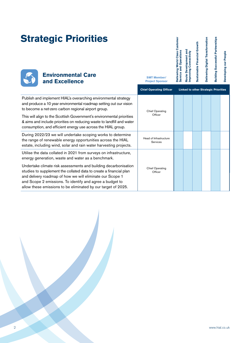| <b>Strategic Priorities</b><br><b>Environmental Care</b><br>and Excellence                                                                                                                                                                                                                                                                                                                                     | <b>SMT Member/</b><br><b>Project Sponsor</b> | Delivering World Class Customer<br><b>Service and Operations</b> | and<br>Improving Connectivity<br><b>Route Development</b> | Sustainable Financial Growth | Delivering Digital Transformation | <b>Building Successful Partnerships</b>     | Developing our People |
|----------------------------------------------------------------------------------------------------------------------------------------------------------------------------------------------------------------------------------------------------------------------------------------------------------------------------------------------------------------------------------------------------------------|----------------------------------------------|------------------------------------------------------------------|-----------------------------------------------------------|------------------------------|-----------------------------------|---------------------------------------------|-----------------------|
|                                                                                                                                                                                                                                                                                                                                                                                                                | <b>Chief Operating Officer</b>               |                                                                  |                                                           |                              |                                   | <b>Linked to other Strategic Priorities</b> |                       |
| Publish and implement HIAL's overarching environmental strategy<br>and produce a 10 year environmental roadmap setting out our vision<br>to become a net-zero carbon regional airport group.<br>This will align to the Scottish Government's environmental priorities<br>& aims and include priorities on reducing waste to landfill and water<br>consumption, and efficient energy use across the HIAL group. | <b>Chief Operating</b><br>Officer            |                                                                  |                                                           |                              |                                   |                                             |                       |
| During 2022/23 we will undertake scoping works to determine<br>the range of renewable energy opportunities across the HIAL<br>estate, including wind, solar and rain water harvesting projects.                                                                                                                                                                                                                | Head of Infrastructure<br>Services           |                                                                  |                                                           |                              |                                   |                                             |                       |
| Utilise the data collated in 2021 from surveys on infrastructure,<br>energy generation, waste and water as a benchmark.                                                                                                                                                                                                                                                                                        |                                              |                                                                  |                                                           |                              |                                   |                                             |                       |
| Undertake climate risk assessments and building decarbonisation<br>studies to supplement the collated data to create a financial plan<br>and delivery roadmap of how we will eliminate our Scope 1<br>and Scope 2 emissions. To identify and agree a budget to<br>allow these emissions to be eliminated by our target of 2025.                                                                                | <b>Chief Operating</b><br>Officer            |                                                                  |                                                           |                              |                                   |                                             |                       |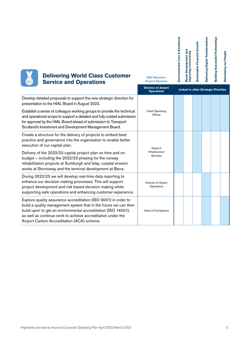**Delivering Digital Transformation** Sustainable Financial Growth **Sustainable Financial Growth**

**Delivering Digital Transformation**

**Building Successful Partnerships**

**Building Successful Partnerships** 

**Developing our People**

Developing our People

**Environmental Care & Excellence**

Environmental Care & Excellence

**Route Development and Improving Connectivity**

**Route Development and<br>Improving Connectivity** 



#### **Delivering World Class Customer Service and Operations**

|                                                                                                                                                                                                                                                                                                                  | <b>Director of Airport</b><br><b>Operations</b> | <b>Linked to other Strategic Priorities</b> |  |  |  |  |  |  |
|------------------------------------------------------------------------------------------------------------------------------------------------------------------------------------------------------------------------------------------------------------------------------------------------------------------|-------------------------------------------------|---------------------------------------------|--|--|--|--|--|--|
| Develop detailed proposals to support the new strategic direction for<br>presentation to the HIAL Board in August 2022.                                                                                                                                                                                          |                                                 |                                             |  |  |  |  |  |  |
| Establish a series of colleague working groups to provide the technical<br>and operational scope to support a detailed and fully costed submission<br>for approval by the HIAL Board ahead of submission to Transport<br>Scotland's Investment and Development Management Board.                                 | <b>Chief Operating</b><br>Officer               |                                             |  |  |  |  |  |  |
| Create a structure for the delivery of projects to embed best<br>practice and governance into the organisation to enable better<br>execution of our capital plan.                                                                                                                                                | Head of                                         |                                             |  |  |  |  |  |  |
| Delivery of the 2022/23 capital project plan on time and on<br>budget - including the 2022/23 phasing for the runway<br>rehabilitation projects at Sumburgh and Islay, coastal erosion<br>works at Stornoway and the terminal development at Barra.                                                              | Infrastructure<br>Services                      |                                             |  |  |  |  |  |  |
| During 2022/23 we will develop real-time data reporting to<br>enhance our decision making processes. This will support<br>project development and risk based decision making while<br>supporting safe operations and enhancing customer experience.                                                              | Director of Airport<br>Operations               |                                             |  |  |  |  |  |  |
| Explore quality assurance accreditation (ISO 9001) in order to<br>build a quality management system that in the future we can then<br>build upon to get an environmental accreditation (ISO 14001),<br>as well as continue work to achieve accreditation under the<br>Airport Carbon Accreditation (ACA) scheme. | Head of Compliance                              |                                             |  |  |  |  |  |  |

**SMT Member/ Project Sponsor**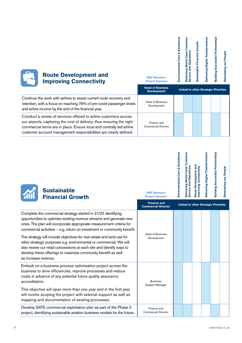| <b>Route Development and</b><br><b>Improving Connectivity</b>                                                                                                                                                                                                                           | <b>SMT Member/</b><br><b>Project Sponsor</b>  | Excellence<br>Care &<br>Environmental | Custome<br><b>Operations</b><br>Delivering World Class<br>Service and | Sustainable Financial Growth | Delivering Digital Transformation | <b>Building Successful Partnerships</b> | Developing our People |
|-----------------------------------------------------------------------------------------------------------------------------------------------------------------------------------------------------------------------------------------------------------------------------------------|-----------------------------------------------|---------------------------------------|-----------------------------------------------------------------------|------------------------------|-----------------------------------|-----------------------------------------|-----------------------|
|                                                                                                                                                                                                                                                                                         | <b>Head of Business</b><br><b>Development</b> |                                       | <b>Linked to other Strategic Priorities</b>                           |                              |                                   |                                         |                       |
| Continue the work with airlines to assist current route recovery and<br>retention, with a focus on reaching 75% of pre-covid passenger levels<br>and airline income by the end of the financial year.                                                                                   | <b>Head of Business</b><br>Development        |                                       |                                                                       |                              |                                   |                                         |                       |
| Conduct a review of services offered to airline customers across<br>our airports, capturing the cost of delivery, thus ensuring the right<br>commercial terms are in place. Ensure local and centrally led airline<br>customer account management responsibilities are clearly defined. | Finance and<br><b>Commercial Director</b>     |                                       |                                                                       |                              |                                   |                                         |                       |
|                                                                                                                                                                                                                                                                                         |                                               |                                       |                                                                       |                              |                                   |                                         |                       |

| Environmental Care & Excellence | Delivering World Class Customer<br>Service and Operations | Route Development and<br>Improving Connectivity | Delivering Digital Transformation | <b>Building Successful Partnerships</b> | Developing our People |
|---------------------------------|-----------------------------------------------------------|-------------------------------------------------|-----------------------------------|-----------------------------------------|-----------------------|
|                                 |                                                           |                                                 |                                   |                                         |                       |



**SMT Member/ Project Sponsor** 

|                                                                                                                                                                                                                                                                                                                                                                                                                                                                                                                                                                                                           | <b>Finance and</b><br><b>Commercial Director</b> | <b>Linked to other Strategic Priorities</b> |  |  |  |  |  |
|-----------------------------------------------------------------------------------------------------------------------------------------------------------------------------------------------------------------------------------------------------------------------------------------------------------------------------------------------------------------------------------------------------------------------------------------------------------------------------------------------------------------------------------------------------------------------------------------------------------|--------------------------------------------------|---------------------------------------------|--|--|--|--|--|
| Complete the commercial strategy started in 21/22 identifying<br>opportunities to optimise existing revenue streams and generate new<br>ones. The plan will incorporate appropriate measurement criteria for<br>commercial activities $-$ e.g. return on investment or community benefit.<br>The strategy will include objectives for real estate and land use for<br>other strategic purposes e.g. environmental or commercial. We will<br>also review our retail concessions at each site and identify ways to<br>develop these offerings to maximise community benefit as well<br>as increase revenue. | <b>Head of Business</b><br>Development           |                                             |  |  |  |  |  |
| Embark on a business process optimisation project across the<br>business to drive efficiencies, improve processes and reduce<br>costs in advance of any potential future quality assurance<br>accreditation.<br>This objective will span more than one year and in the first year<br>will involve scoping the project with external support as well as<br>mapping and documentation of existing processes.                                                                                                                                                                                                | <b>Business</b><br>Support Manager               |                                             |  |  |  |  |  |
| Develop SATE commercial exploitation plan as part of the Phase 2<br>project, identifying sustainable aviation business models for the future.                                                                                                                                                                                                                                                                                                                                                                                                                                                             | Finance and<br><b>Commercial Director</b>        |                                             |  |  |  |  |  |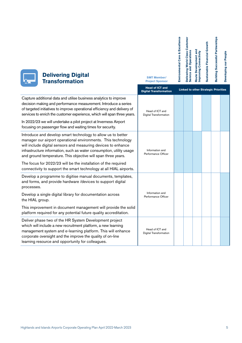| Delivering World Class Customer<br>Service and Operations | Route Development and<br>Improving Connectivity | <b>Sustainable Financial Growth</b> | <b>Building Successful Partnerships</b> |
|-----------------------------------------------------------|-------------------------------------------------|-------------------------------------|-----------------------------------------|
|                                                           |                                                 |                                     |                                         |

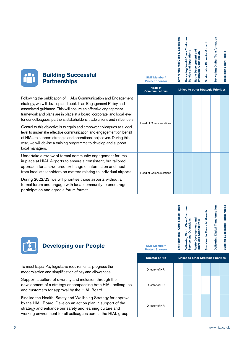| <b>Building Successful</b><br><b>Partnerships</b>                                                                                                                                                                                                                                                                                                                                                                                                                                                                                                                                                                                                                            | <b>SMT Member/</b><br><b>Project Sponsor</b> | Environmental Care & Excellence | World<br>Oper<br>Deliverin<br>iervice       | and<br>Connectivity<br><b>Route Development</b><br>mproving | Sustainable Financial Growth | Delivering Digital Transformation | Developing our People |
|------------------------------------------------------------------------------------------------------------------------------------------------------------------------------------------------------------------------------------------------------------------------------------------------------------------------------------------------------------------------------------------------------------------------------------------------------------------------------------------------------------------------------------------------------------------------------------------------------------------------------------------------------------------------------|----------------------------------------------|---------------------------------|---------------------------------------------|-------------------------------------------------------------|------------------------------|-----------------------------------|-----------------------|
|                                                                                                                                                                                                                                                                                                                                                                                                                                                                                                                                                                                                                                                                              | <b>Head of</b><br><b>Communications</b>      |                                 | <b>Linked to other Strategic Priorities</b> |                                                             |                              |                                   |                       |
| Following the publication of HIAL's Communication and Engagement<br>strategy, we will develop and publish an Engagement Policy and<br>associated guidance. This will ensure an effective engagement<br>framework and plans are in place at a board, corporate, and local level<br>for our colleagues, partners, stakeholders, trade unions and influencers.<br>Central to this objective is to equip and empower colleagues at a local<br>level to undertake effective communication and engagement on behalf<br>of HIAL to support strategic and operational objectives. During this<br>year, we will devise a training programme to develop and support<br>local managers. | <b>Head of Communications</b>                |                                 |                                             |                                                             |                              |                                   |                       |
| Undertake a review of formal community engagement forums<br>in place at HIAL Airports to ensure a consistent, but tailored<br>approach for a structured exchange of information and input<br>from local stakeholders on matters relating to individual airports.                                                                                                                                                                                                                                                                                                                                                                                                             | <b>Head of Communications</b>                |                                 |                                             |                                                             |                              |                                   |                       |

During 2022/23, we will prioritise those airports without a formal forum and engage with local community to encourage participation and agree a forum format.

 $\mathbf{L}$ 

| <b>Environmental Care &amp; Excellence</b> | Delivering World Class Customer<br>Service and Operations | Route Development and<br>Improving Connectivity | Sustainable Financial Growth | <b>Delivering Digital Transformation</b> | <b>Building Successful Partnerships</b> |
|--------------------------------------------|-----------------------------------------------------------|-------------------------------------------------|------------------------------|------------------------------------------|-----------------------------------------|
|                                            |                                                           |                                                 |                              |                                          |                                         |

| <b>Developing our People</b>                                                                                                                                                                                                                                | <b>SMT Member/</b><br><b>Project Sponsor</b> | È |                                             |  | eliv | $\frac{1}{3}$ |
|-------------------------------------------------------------------------------------------------------------------------------------------------------------------------------------------------------------------------------------------------------------|----------------------------------------------|---|---------------------------------------------|--|------|---------------|
|                                                                                                                                                                                                                                                             | <b>Director of HR</b>                        |   | <b>Linked to other Strategic Priorities</b> |  |      |               |
| To meet Equal Pay legislative requirements, progress the<br>modernisation and simplification of pay and allowances.                                                                                                                                         | Director of HR                               |   |                                             |  |      |               |
| Support a culture of diversity and inclusion through the<br>development of a strategy encompassing both HIAL colleagues<br>and customers for approval by the HIAL Board.                                                                                    | Director of HR                               |   |                                             |  |      |               |
| Finalise the Health, Safety and Wellbeing Strategy for approval<br>by the HIAL Board. Develop an action plan in support of the<br>strategy and enhance our safety and learning culture and<br>working environment for all colleagues across the HIAL group. | Director of HR                               |   |                                             |  |      |               |